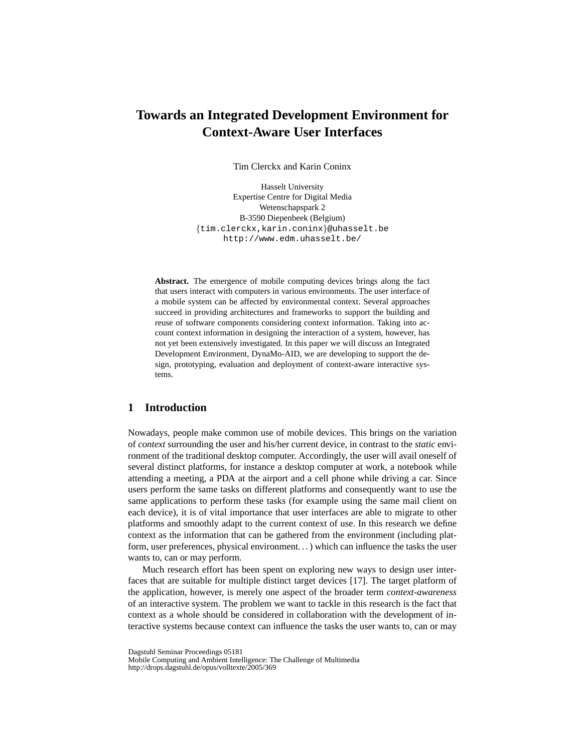# **Towards an Integrated Development Environment for Context-Aware User Interfaces**

Tim Clerckx and Karin Coninx

Hasselt University Expertise Centre for Digital Media Wetenschapspark 2 B-3590 Diepenbeek (Belgium) {tim.clerckx,karin.coninx}@uhasselt.be http://www.edm.uhasselt.be/

**Abstract.** The emergence of mobile computing devices brings along the fact that users interact with computers in various environments. The user interface of a mobile system can be affected by environmental context. Several approaches succeed in providing architectures and frameworks to support the building and reuse of software components considering context information. Taking into account context information in designing the interaction of a system, however, has not yet been extensively investigated. In this paper we will discuss an Integrated Development Environment, DynaMo-AID, we are developing to support the design, prototyping, evaluation and deployment of context-aware interactive systems.

# **1 Introduction**

Nowadays, people make common use of mobile devices. This brings on the variation of *context* surrounding the user and his/her current device, in contrast to the *static* environment of the traditional desktop computer. Accordingly, the user will avail oneself of several distinct platforms, for instance a desktop computer at work, a notebook while attending a meeting, a PDA at the airport and a cell phone while driving a car. Since users perform the same tasks on different platforms and consequently want to use the same applications to perform these tasks (for example using the same mail client on each device), it is of vital importance that user interfaces are able to migrate to other platforms and smoothly adapt to the current context of use. In this research we define context as the information that can be gathered from the environment (including platform, user preferences, physical environment. . . ) which can influence the tasks the user wants to, can or may perform.

Much research effort has been spent on exploring new ways to design user interfaces that are suitable for multiple distinct target devices [17]. The target platform of the application, however, is merely one aspect of the broader term *context-awareness* of an interactive system. The problem we want to tackle in this research is the fact that context as a whole should be considered in collaboration with the development of interactive systems because context can influence the tasks the user wants to, can or may

Dagstuhl Seminar Proceedings 05181

Mobile Computing and Ambient Intelligence: The Challenge of Multimedia http://drops.dagstuhl.de/opus/volltexte/2005/369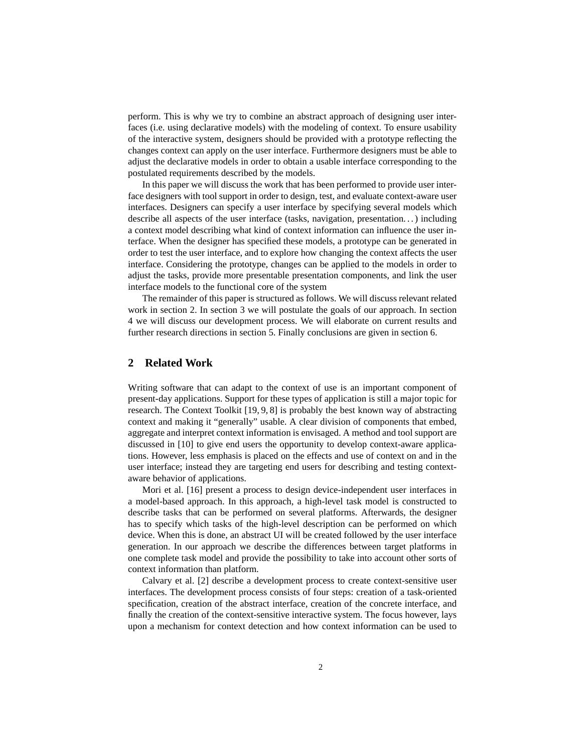perform. This is why we try to combine an abstract approach of designing user interfaces (i.e. using declarative models) with the modeling of context. To ensure usability of the interactive system, designers should be provided with a prototype reflecting the changes context can apply on the user interface. Furthermore designers must be able to adjust the declarative models in order to obtain a usable interface corresponding to the postulated requirements described by the models.

In this paper we will discuss the work that has been performed to provide user interface designers with tool support in order to design, test, and evaluate context-aware user interfaces. Designers can specify a user interface by specifying several models which describe all aspects of the user interface (tasks, navigation, presentation. . . ) including a context model describing what kind of context information can influence the user interface. When the designer has specified these models, a prototype can be generated in order to test the user interface, and to explore how changing the context affects the user interface. Considering the prototype, changes can be applied to the models in order to adjust the tasks, provide more presentable presentation components, and link the user interface models to the functional core of the system

The remainder of this paper is structured as follows. We will discuss relevant related work in section 2. In section 3 we will postulate the goals of our approach. In section 4 we will discuss our development process. We will elaborate on current results and further research directions in section 5. Finally conclusions are given in section 6.

# **2 Related Work**

Writing software that can adapt to the context of use is an important component of present-day applications. Support for these types of application is still a major topic for research. The Context Toolkit [19, 9, 8] is probably the best known way of abstracting context and making it "generally" usable. A clear division of components that embed, aggregate and interpret context information is envisaged. A method and tool support are discussed in [10] to give end users the opportunity to develop context-aware applications. However, less emphasis is placed on the effects and use of context on and in the user interface; instead they are targeting end users for describing and testing contextaware behavior of applications.

Mori et al. [16] present a process to design device-independent user interfaces in a model-based approach. In this approach, a high-level task model is constructed to describe tasks that can be performed on several platforms. Afterwards, the designer has to specify which tasks of the high-level description can be performed on which device. When this is done, an abstract UI will be created followed by the user interface generation. In our approach we describe the differences between target platforms in one complete task model and provide the possibility to take into account other sorts of context information than platform.

Calvary et al. [2] describe a development process to create context-sensitive user interfaces. The development process consists of four steps: creation of a task-oriented specification, creation of the abstract interface, creation of the concrete interface, and finally the creation of the context-sensitive interactive system. The focus however, lays upon a mechanism for context detection and how context information can be used to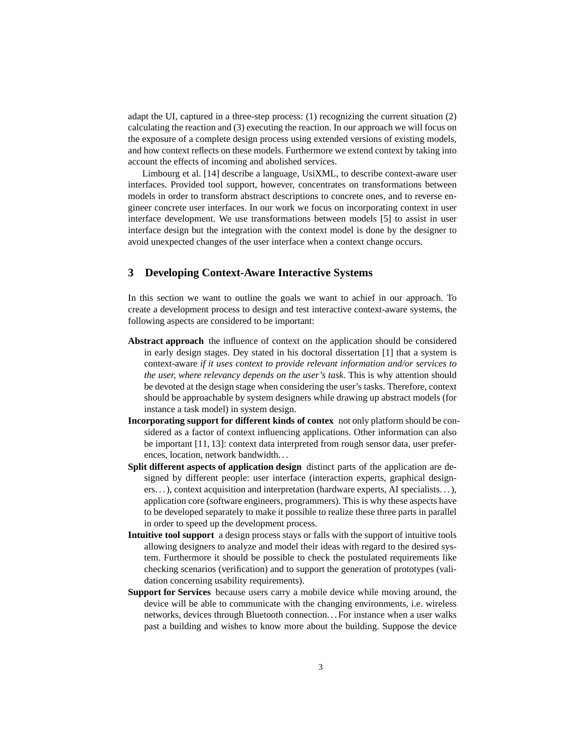adapt the UI, captured in a three-step process: (1) recognizing the current situation (2) calculating the reaction and (3) executing the reaction. In our approach we will focus on the exposure of a complete design process using extended versions of existing models, and how context reflects on these models. Furthermore we extend context by taking into account the effects of incoming and abolished services.

Limbourg et al. [14] describe a language, UsiXML, to describe context-aware user interfaces. Provided tool support, however, concentrates on transformations between models in order to transform abstract descriptions to concrete ones, and to reverse engineer concrete user interfaces. In our work we focus on incorporating context in user interface development. We use transformations between models [5] to assist in user interface design but the integration with the context model is done by the designer to avoid unexpected changes of the user interface when a context change occurs.

# **3 Developing Context-Aware Interactive Systems**

In this section we want to outline the goals we want to achief in our approach. To create a development process to design and test interactive context-aware systems, the following aspects are considered to be important:

- **Abstract approach** the influence of context on the application should be considered in early design stages. Dey stated in his doctoral dissertation [1] that a system is context-aware *if it uses context to provide relevant information and/or services to the user, where relevancy depends on the user's task*. This is why attention should be devoted at the design stage when considering the user's tasks. Therefore, context should be approachable by system designers while drawing up abstract models (for instance a task model) in system design.
- **Incorporating support for different kinds of contex** not only platform should be considered as a factor of context influencing applications. Other information can also be important [11, 13]: context data interpreted from rough sensor data, user preferences, location, network bandwidth. . .
- **Split different aspects of application design** distinct parts of the application are designed by different people: user interface (interaction experts, graphical designers. . . ), context acquisition and interpretation (hardware experts, AI specialists. . . ), application core (software engineers, programmers). This is why these aspects have to be developed separately to make it possible to realize these three parts in parallel in order to speed up the development process.
- **Intuitive tool support** a design process stays or falls with the support of intuitive tools allowing designers to analyze and model their ideas with regard to the desired system. Furthermore it should be possible to check the postulated requirements like checking scenarios (verification) and to support the generation of prototypes (validation concerning usability requirements).
- **Support for Services** because users carry a mobile device while moving around, the device will be able to communicate with the changing environments, i.e. wireless networks, devices through Bluetooth connection. . . For instance when a user walks past a building and wishes to know more about the building. Suppose the device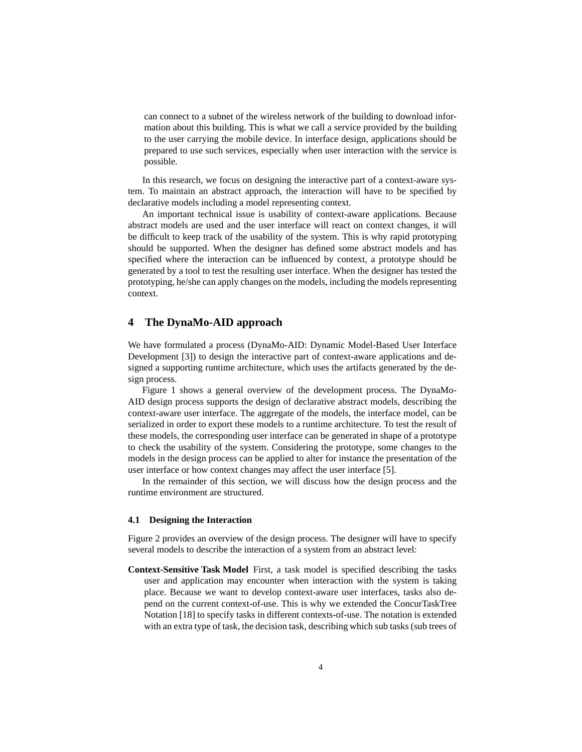can connect to a subnet of the wireless network of the building to download information about this building. This is what we call a service provided by the building to the user carrying the mobile device. In interface design, applications should be prepared to use such services, especially when user interaction with the service is possible.

In this research, we focus on designing the interactive part of a context-aware system. To maintain an abstract approach, the interaction will have to be specified by declarative models including a model representing context.

An important technical issue is usability of context-aware applications. Because abstract models are used and the user interface will react on context changes, it will be difficult to keep track of the usability of the system. This is why rapid prototyping should be supported. When the designer has defined some abstract models and has specified where the interaction can be influenced by context, a prototype should be generated by a tool to test the resulting user interface. When the designer has tested the prototyping, he/she can apply changes on the models, including the models representing context.

## **4 The DynaMo-AID approach**

We have formulated a process (DynaMo-AID: Dynamic Model-Based User Interface Development [3]) to design the interactive part of context-aware applications and designed a supporting runtime architecture, which uses the artifacts generated by the design process.

Figure 1 shows a general overview of the development process. The DynaMo-AID design process supports the design of declarative abstract models, describing the context-aware user interface. The aggregate of the models, the interface model, can be serialized in order to export these models to a runtime architecture. To test the result of these models, the corresponding user interface can be generated in shape of a prototype to check the usability of the system. Considering the prototype, some changes to the models in the design process can be applied to alter for instance the presentation of the user interface or how context changes may affect the user interface [5].

In the remainder of this section, we will discuss how the design process and the runtime environment are structured.

#### **4.1 Designing the Interaction**

Figure 2 provides an overview of the design process. The designer will have to specify several models to describe the interaction of a system from an abstract level:

**Context-Sensitive Task Model** First, a task model is specified describing the tasks user and application may encounter when interaction with the system is taking place. Because we want to develop context-aware user interfaces, tasks also depend on the current context-of-use. This is why we extended the ConcurTaskTree Notation [18] to specify tasks in different contexts-of-use. The notation is extended with an extra type of task, the decision task, describing which sub tasks (sub trees of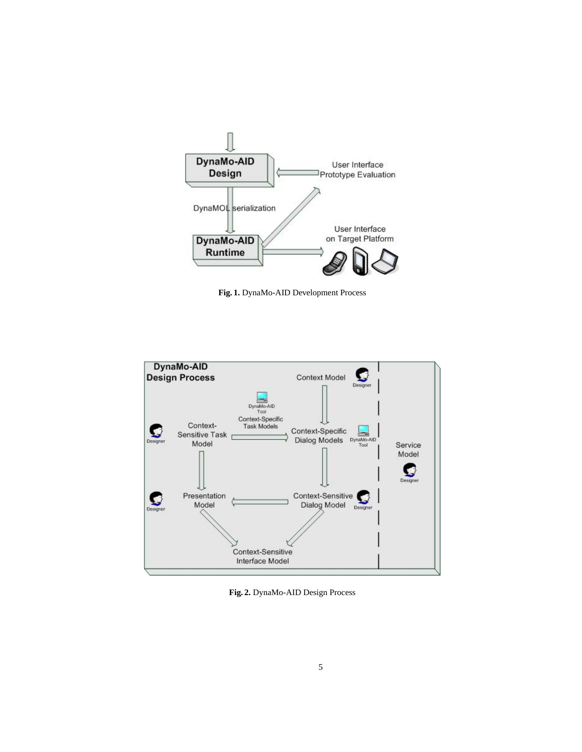

**Fig. 1.** DynaMo-AID Development Process



**Fig. 2.** DynaMo-AID Design Process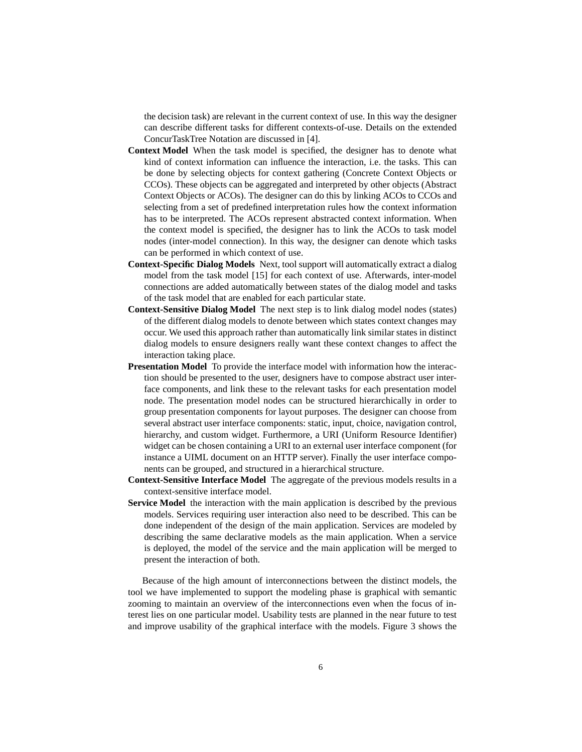the decision task) are relevant in the current context of use. In this way the designer can describe different tasks for different contexts-of-use. Details on the extended ConcurTaskTree Notation are discussed in [4].

- **Context Model** When the task model is specified, the designer has to denote what kind of context information can influence the interaction, i.e. the tasks. This can be done by selecting objects for context gathering (Concrete Context Objects or CCOs). These objects can be aggregated and interpreted by other objects (Abstract Context Objects or ACOs). The designer can do this by linking ACOs to CCOs and selecting from a set of predefined interpretation rules how the context information has to be interpreted. The ACOs represent abstracted context information. When the context model is specified, the designer has to link the ACOs to task model nodes (inter-model connection). In this way, the designer can denote which tasks can be performed in which context of use.
- **Context-Specific Dialog Models** Next, tool support will automatically extract a dialog model from the task model [15] for each context of use. Afterwards, inter-model connections are added automatically between states of the dialog model and tasks of the task model that are enabled for each particular state.
- **Context-Sensitive Dialog Model** The next step is to link dialog model nodes (states) of the different dialog models to denote between which states context changes may occur. We used this approach rather than automatically link similar states in distinct dialog models to ensure designers really want these context changes to affect the interaction taking place.
- **Presentation Model** To provide the interface model with information how the interaction should be presented to the user, designers have to compose abstract user interface components, and link these to the relevant tasks for each presentation model node. The presentation model nodes can be structured hierarchically in order to group presentation components for layout purposes. The designer can choose from several abstract user interface components: static, input, choice, navigation control, hierarchy, and custom widget. Furthermore, a URI (Uniform Resource Identifier) widget can be chosen containing a URI to an external user interface component (for instance a UIML document on an HTTP server). Finally the user interface components can be grouped, and structured in a hierarchical structure.
- **Context-Sensitive Interface Model** The aggregate of the previous models results in a context-sensitive interface model.
- **Service Model** the interaction with the main application is described by the previous models. Services requiring user interaction also need to be described. This can be done independent of the design of the main application. Services are modeled by describing the same declarative models as the main application. When a service is deployed, the model of the service and the main application will be merged to present the interaction of both.

Because of the high amount of interconnections between the distinct models, the tool we have implemented to support the modeling phase is graphical with semantic zooming to maintain an overview of the interconnections even when the focus of interest lies on one particular model. Usability tests are planned in the near future to test and improve usability of the graphical interface with the models. Figure 3 shows the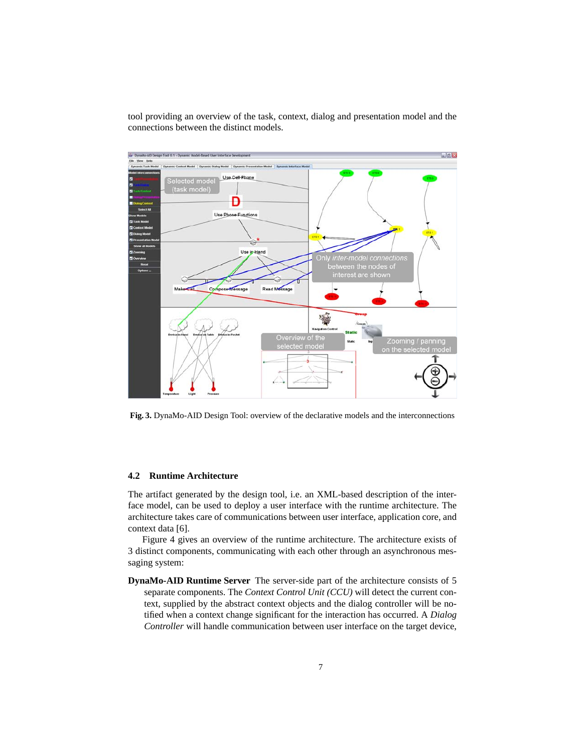tool providing an overview of the task, context, dialog and presentation model and the connections between the distinct models.



**Fig. 3.** DynaMo-AID Design Tool: overview of the declarative models and the interconnections

#### **4.2 Runtime Architecture**

The artifact generated by the design tool, i.e. an XML-based description of the interface model, can be used to deploy a user interface with the runtime architecture. The architecture takes care of communications between user interface, application core, and context data [6].

Figure 4 gives an overview of the runtime architecture. The architecture exists of 3 distinct components, communicating with each other through an asynchronous messaging system:

**DynaMo-AID Runtime Server** The server-side part of the architecture consists of 5 separate components. The *Context Control Unit (CCU)* will detect the current context, supplied by the abstract context objects and the dialog controller will be notified when a context change significant for the interaction has occurred. A *Dialog Controller* will handle communication between user interface on the target device,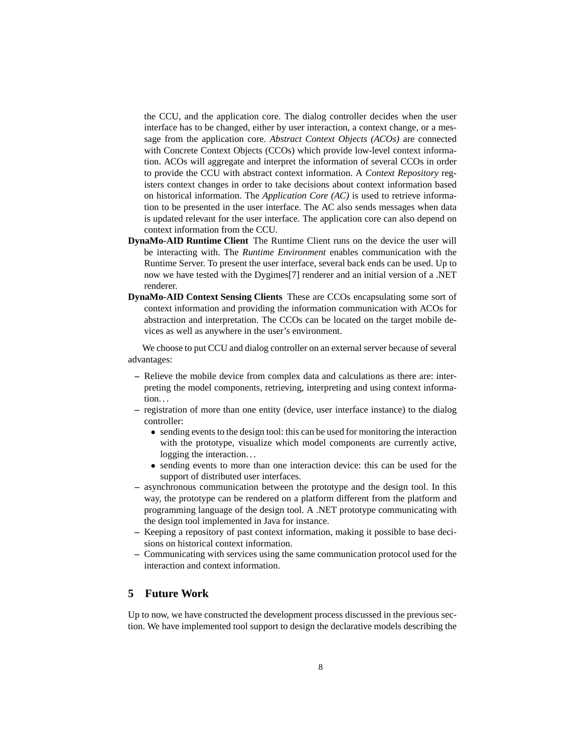the CCU, and the application core. The dialog controller decides when the user interface has to be changed, either by user interaction, a context change, or a message from the application core. *Abstract Context Objects (ACOs)* are connected with Concrete Context Objects (CCOs) which provide low-level context information. ACOs will aggregate and interpret the information of several CCOs in order to provide the CCU with abstract context information. A *Context Repository* registers context changes in order to take decisions about context information based on historical information. The *Application Core (AC)* is used to retrieve information to be presented in the user interface. The AC also sends messages when data is updated relevant for the user interface. The application core can also depend on context information from the CCU.

- **DynaMo-AID Runtime Client** The Runtime Client runs on the device the user will be interacting with. The *Runtime Environment* enables communication with the Runtime Server. To present the user interface, several back ends can be used. Up to now we have tested with the Dygimes[7] renderer and an initial version of a .NET renderer.
- **DynaMo-AID Context Sensing Clients** These are CCOs encapsulating some sort of context information and providing the information communication with ACOs for abstraction and interpretation. The CCOs can be located on the target mobile devices as well as anywhere in the user's environment.

We choose to put CCU and dialog controller on an external server because of several advantages:

- **–** Relieve the mobile device from complex data and calculations as there are: interpreting the model components, retrieving, interpreting and using context information. . .
- **–** registration of more than one entity (device, user interface instance) to the dialog controller:
	- sending events to the design tool: this can be used for monitoring the interaction with the prototype, visualize which model components are currently active, logging the interaction...
	- sending events to more than one interaction device: this can be used for the support of distributed user interfaces.
- **–** asynchronous communication between the prototype and the design tool. In this way, the prototype can be rendered on a platform different from the platform and programming language of the design tool. A .NET prototype communicating with the design tool implemented in Java for instance.
- **–** Keeping a repository of past context information, making it possible to base decisions on historical context information.
- **–** Communicating with services using the same communication protocol used for the interaction and context information.

# **5 Future Work**

Up to now, we have constructed the development process discussed in the previous section. We have implemented tool support to design the declarative models describing the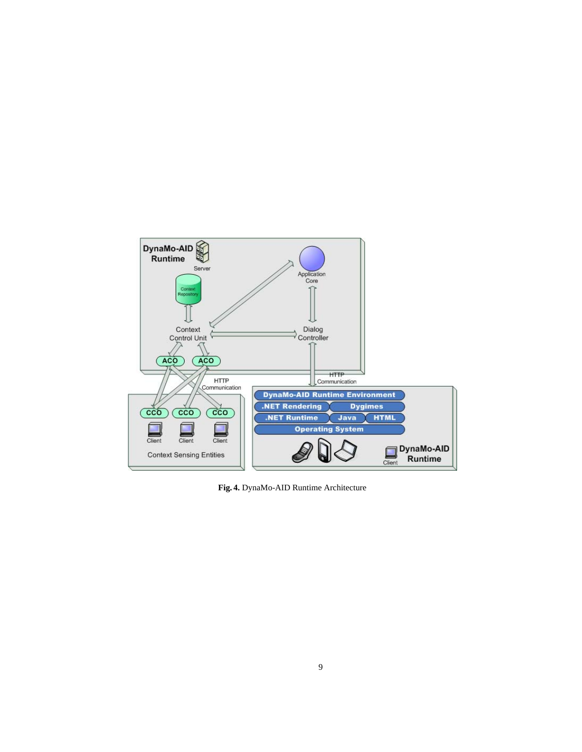

**Fig. 4.** DynaMo-AID Runtime Architecture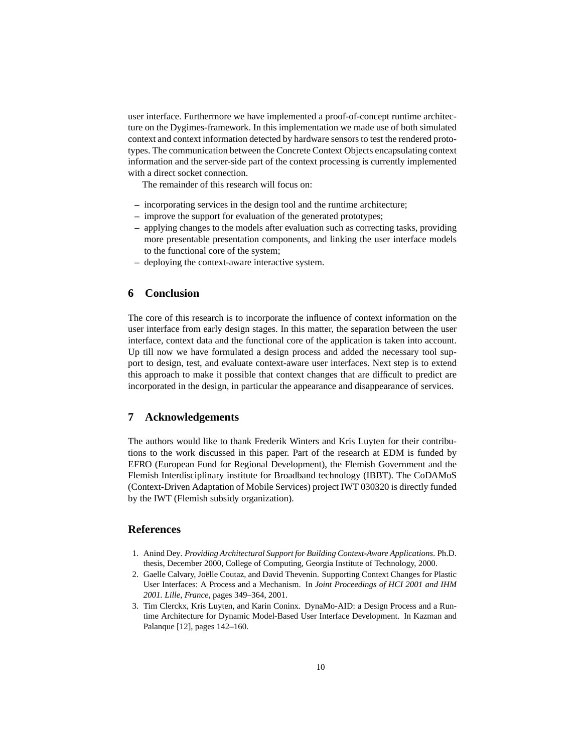user interface. Furthermore we have implemented a proof-of-concept runtime architecture on the Dygimes-framework. In this implementation we made use of both simulated context and context information detected by hardware sensors to test the rendered prototypes. The communication between the Concrete Context Objects encapsulating context information and the server-side part of the context processing is currently implemented with a direct socket connection.

The remainder of this research will focus on:

- **–** incorporating services in the design tool and the runtime architecture;
- **–** improve the support for evaluation of the generated prototypes;
- **–** applying changes to the models after evaluation such as correcting tasks, providing more presentable presentation components, and linking the user interface models to the functional core of the system;
- **–** deploying the context-aware interactive system.

### **6 Conclusion**

The core of this research is to incorporate the influence of context information on the user interface from early design stages. In this matter, the separation between the user interface, context data and the functional core of the application is taken into account. Up till now we have formulated a design process and added the necessary tool support to design, test, and evaluate context-aware user interfaces. Next step is to extend this approach to make it possible that context changes that are difficult to predict are incorporated in the design, in particular the appearance and disappearance of services.

# **7 Acknowledgements**

The authors would like to thank Frederik Winters and Kris Luyten for their contributions to the work discussed in this paper. Part of the research at EDM is funded by EFRO (European Fund for Regional Development), the Flemish Government and the Flemish Interdisciplinary institute for Broadband technology (IBBT). The CoDAMoS (Context-Driven Adaptation of Mobile Services) project IWT 030320 is directly funded by the IWT (Flemish subsidy organization).

# **References**

- 1. Anind Dey. *Providing Architectural Support for Building Context-Aware Applications*. Ph.D. thesis, December 2000, College of Computing, Georgia Institute of Technology, 2000.
- 2. Gaelle Calvary, Joelle Coutaz, and David Thevenin. Supporting Context Changes for Plastic ¨ User Interfaces: A Process and a Mechanism. In *Joint Proceedings of HCI 2001 and IHM 2001. Lille, France*, pages 349–364, 2001.
- 3. Tim Clerckx, Kris Luyten, and Karin Coninx. DynaMo-AID: a Design Process and a Runtime Architecture for Dynamic Model-Based User Interface Development. In Kazman and Palanque [12], pages 142–160.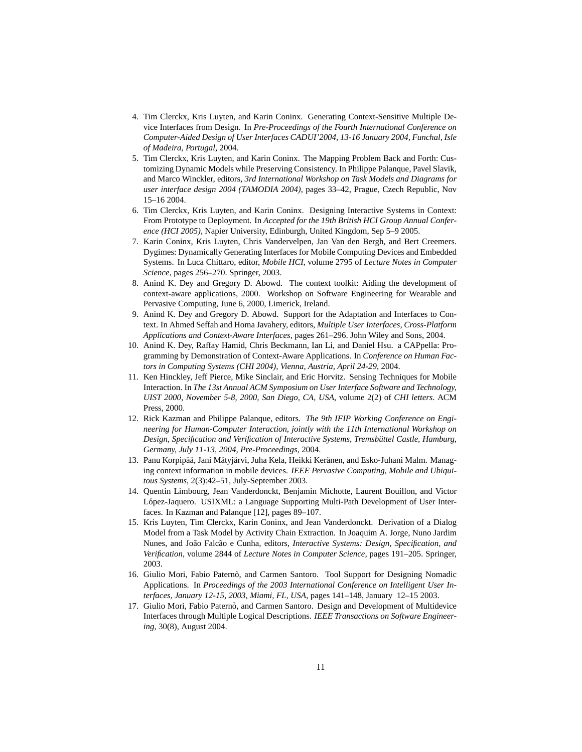- 4. Tim Clerckx, Kris Luyten, and Karin Coninx. Generating Context-Sensitive Multiple Device Interfaces from Design. In *Pre-Proceedings of the Fourth International Conference on Computer-Aided Design of User Interfaces CADUI'2004, 13-16 January 2004, Funchal, Isle of Madeira, Portugal*, 2004.
- 5. Tim Clerckx, Kris Luyten, and Karin Coninx. The Mapping Problem Back and Forth: Customizing Dynamic Models while Preserving Consistency. In Philippe Palanque, Pavel Slavik, and Marco Winckler, editors, *3rd International Workshop on Task Models and Diagrams for user interface design 2004 (TAMODIA 2004)*, pages 33–42, Prague, Czech Republic, Nov 15–16 2004.
- 6. Tim Clerckx, Kris Luyten, and Karin Coninx. Designing Interactive Systems in Context: From Prototype to Deployment. In *Accepted for the 19th British HCI Group Annual Conference (HCI 2005)*, Napier University, Edinburgh, United Kingdom, Sep 5–9 2005.
- 7. Karin Coninx, Kris Luyten, Chris Vandervelpen, Jan Van den Bergh, and Bert Creemers. Dygimes: Dynamically Generating Interfaces for Mobile Computing Devices and Embedded Systems. In Luca Chittaro, editor, *Mobile HCI*, volume 2795 of *Lecture Notes in Computer Science*, pages 256–270. Springer, 2003.
- 8. Anind K. Dey and Gregory D. Abowd. The context toolkit: Aiding the development of context-aware applications, 2000. Workshop on Software Engineering for Wearable and Pervasive Computing, June 6, 2000, Limerick, Ireland.
- 9. Anind K. Dey and Gregory D. Abowd. Support for the Adaptation and Interfaces to Context. In Ahmed Seffah and Homa Javahery, editors, *Multiple User Interfaces, Cross-Platform Applications and Context-Aware Interfaces*, pages 261–296. John Wiley and Sons, 2004.
- 10. Anind K. Dey, Raffay Hamid, Chris Beckmann, Ian Li, and Daniel Hsu. a CAPpella: Programming by Demonstration of Context-Aware Applications. In *Conference on Human Factors in Computing Systems (CHI 2004), Vienna, Austria, April 24-29*, 2004.
- 11. Ken Hinckley, Jeff Pierce, Mike Sinclair, and Eric Horvitz. Sensing Techniques for Mobile Interaction. In *The 13st Annual ACM Symposium on User Interface Software and Technology, UIST 2000, November 5-8, 2000, San Diego, CA, USA*, volume 2(2) of *CHI letters*. ACM Press, 2000.
- 12. Rick Kazman and Philippe Palanque, editors. *The 9th IFIP Working Conference on Engineering for Human-Computer Interaction, jointly with the 11th International Workshop on Design, Specification and Verification of Interactive Systems, Tremsbuttel Castle, Hamburg, ¨ Germany, July 11-13, 2004, Pre-Proceedings*, 2004.
- 13. Panu Korpipää, Jani Mätyjärvi, Juha Kela, Heikki Keränen, and Esko-Juhani Malm. Managing context information in mobile devices. *IEEE Pervasive Computing, Mobile and Ubiquitous Systems*, 2(3):42–51, July-September 2003.
- 14. Quentin Limbourg, Jean Vanderdonckt, Benjamin Michotte, Laurent Bouillon, and Victor López-Jaquero. USIXML: a Language Supporting Multi-Path Development of User Interfaces. In Kazman and Palanque [12], pages 89–107.
- 15. Kris Luyten, Tim Clerckx, Karin Coninx, and Jean Vanderdonckt. Derivation of a Dialog Model from a Task Model by Activity Chain Extraction. In Joaquim A. Jorge, Nuno Jardim Nunes, and João Falcão e Cunha, editors, *Interactive Systems: Design, Specification, and Verification*, volume 2844 of *Lecture Notes in Computer Science*, pages 191–205. Springer, 2003.
- 16. Giulio Mori, Fabio Paternò, and Carmen Santoro. Tool Support for Designing Nomadic Applications. In *Proceedings of the 2003 International Conference on Intelligent User Interfaces, January 12-15, 2003, Miami, FL, USA*, pages 141–148, January 12–15 2003.
- 17. Giulio Mori, Fabio Paternò, and Carmen Santoro. Design and Development of Multidevice Interfaces through Multiple Logical Descriptions. *IEEE Transactions on Software Engineering*, 30(8), August 2004.